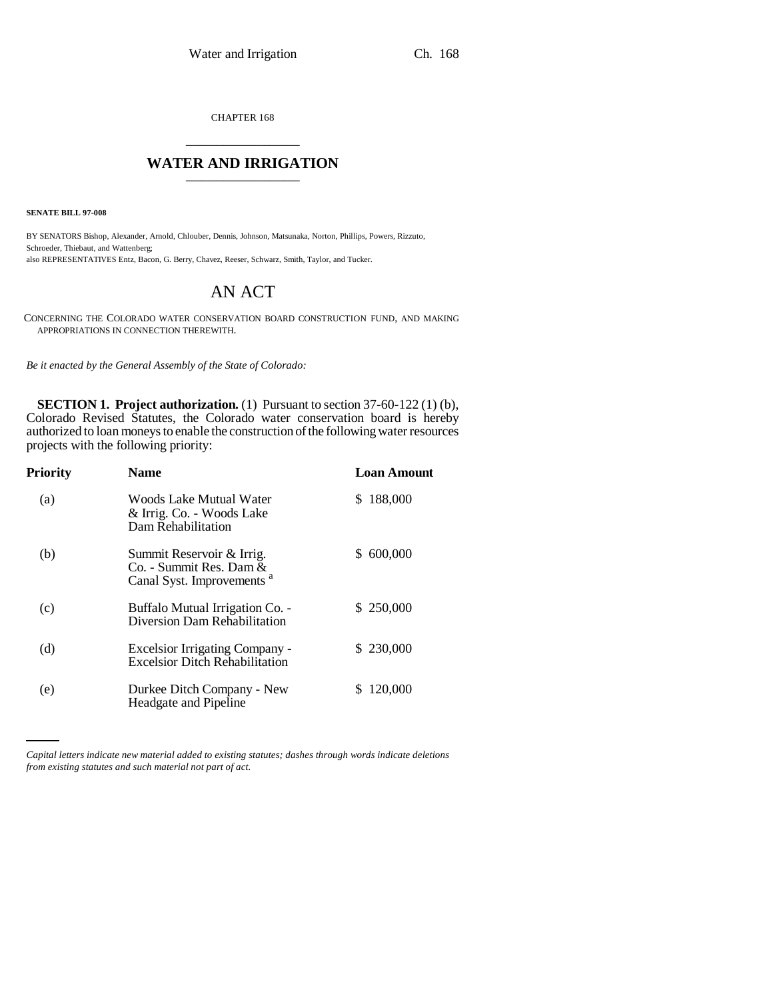CHAPTER 168 \_\_\_\_\_\_\_\_\_\_\_\_\_\_\_

## **WATER AND IRRIGATION**

**SENATE BILL 97-008**

BY SENATORS Bishop, Alexander, Arnold, Chlouber, Dennis, Johnson, Matsunaka, Norton, Phillips, Powers, Rizzuto, Schroeder, Thiebaut, and Wattenberg; also REPRESENTATIVES Entz, Bacon, G. Berry, Chavez, Reeser, Schwarz, Smith, Taylor, and Tucker.

## AN ACT

CONCERNING THE COLORADO WATER CONSERVATION BOARD CONSTRUCTION FUND, AND MAKING APPROPRIATIONS IN CONNECTION THEREWITH.

*Be it enacted by the General Assembly of the State of Colorado:*

**SECTION 1. Project authorization.** (1) Pursuant to section 37-60-122 (1) (b), Colorado Revised Statutes, the Colorado water conservation board is hereby authorized to loan moneys to enable the construction of the following water resources projects with the following priority:

| Priority | <b>Name</b>                                                                                   | <b>Loan Amount</b> |
|----------|-----------------------------------------------------------------------------------------------|--------------------|
| (a)      | Woods Lake Mutual Water<br>& Irrig. Co. - Woods Lake<br>Dam Rehabilitation                    | 188,000<br>S.      |
| (b)      | Summit Reservoir & Irrig.<br>Co. - Summit Res. Dam &<br>Canal Syst. Improvements <sup>a</sup> | 600,000<br>S.      |
| (c)      | Buffalo Mutual Irrigation Co. -<br>Diversion Dam Rehabilitation                               | \$250,000          |
| (d)      | <b>Excelsior Irrigating Company -</b><br><b>Excelsior Ditch Rehabilitation</b>                | \$230,000          |
| (e)      | Durkee Ditch Company - New<br>Headgate and Pipeline                                           | 120,000            |

*Capital letters indicate new material added to existing statutes; dashes through words indicate deletions from existing statutes and such material not part of act.*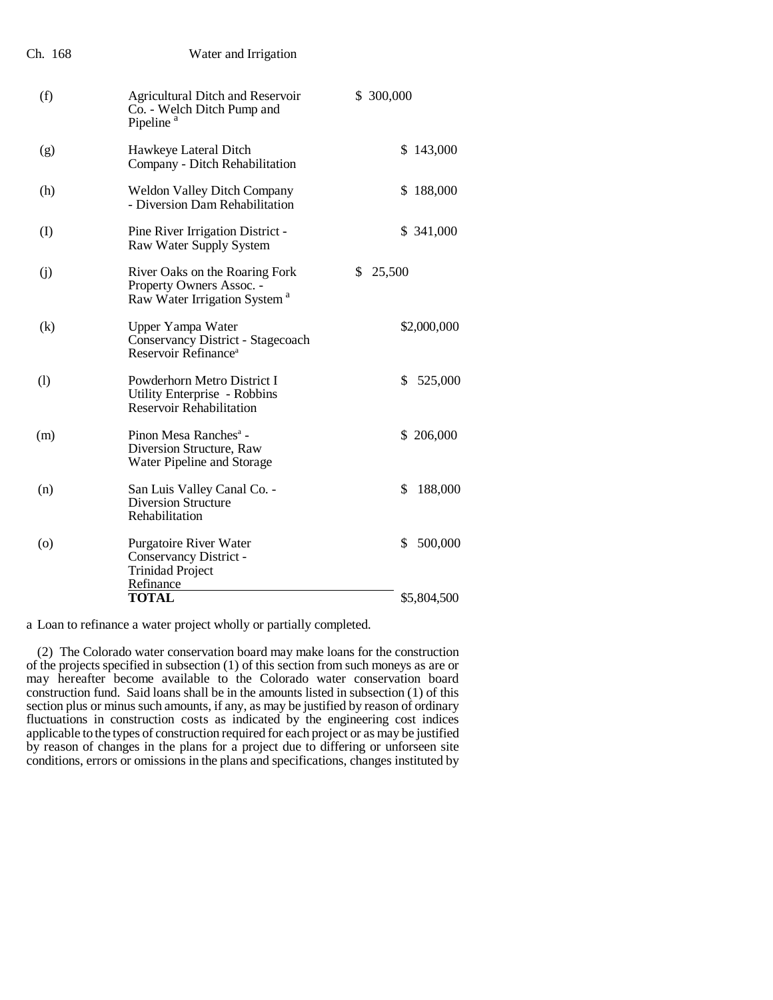| Ch. 168            | Water and Irrigation                                                                                   |               |
|--------------------|--------------------------------------------------------------------------------------------------------|---------------|
| (f)                | <b>Agricultural Ditch and Reservoir</b><br>Co. - Welch Ditch Pump and<br>Pipeline <sup>a</sup>         | \$300,000     |
| (g)                | Hawkeye Lateral Ditch<br>Company - Ditch Rehabilitation                                                | \$143,000     |
| (h)                | <b>Weldon Valley Ditch Company</b><br>- Diversion Dam Rehabilitation                                   | \$188,000     |
| $\rm(I)$           | Pine River Irrigation District -<br>Raw Water Supply System                                            | \$ 341,000    |
| (i)                | River Oaks on the Roaring Fork<br>Property Owners Assoc. -<br>Raw Water Irrigation System <sup>a</sup> | \$<br>25,500  |
| (k)                | Upper Yampa Water<br>Conservancy District - Stagecoach<br>Reservoir Refinance <sup>a</sup>             | \$2,000,000   |
| (1)                | Powderhorn Metro District I<br>Utility Enterprise - Robbins<br><b>Reservoir Rehabilitation</b>         | \$<br>525,000 |
| (m)                | Pinon Mesa Ranches <sup>a</sup> -<br>Diversion Structure, Raw<br>Water Pipeline and Storage            | \$206,000     |
| (n)                | San Luis Valley Canal Co. -<br><b>Diversion Structure</b><br>Rehabilitation                            | \$<br>188,000 |
| $\left( 0 \right)$ | Purgatoire River Water<br>Conservancy District -<br><b>Trinidad Project</b>                            | \$<br>500,000 |
|                    | Refinance<br><b>TOTAL</b>                                                                              | \$5,804,500   |
|                    |                                                                                                        |               |

a Loan to refinance a water project wholly or partially completed.

(2) The Colorado water conservation board may make loans for the construction of the projects specified in subsection (1) of this section from such moneys as are or may hereafter become available to the Colorado water conservation board construction fund. Said loans shall be in the amounts listed in subsection (1) of this section plus or minus such amounts, if any, as may be justified by reason of ordinary fluctuations in construction costs as indicated by the engineering cost indices applicable to the types of construction required for each project or as may be justified by reason of changes in the plans for a project due to differing or unforseen site conditions, errors or omissions in the plans and specifications, changes instituted by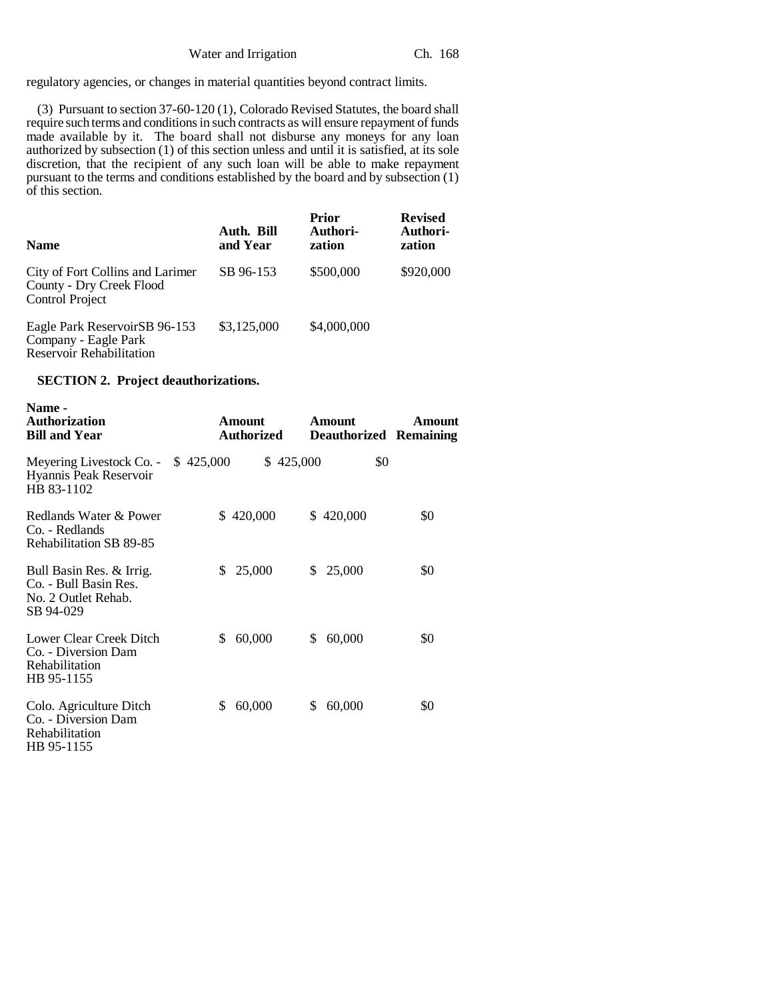regulatory agencies, or changes in material quantities beyond contract limits.

(3) Pursuant to section 37-60-120 (1), Colorado Revised Statutes, the board shall require such terms and conditions in such contracts as will ensure repayment of funds made available by it. The board shall not disburse any moneys for any loan authorized by subsection (1) of this section unless and until it is satisfied, at its sole discretion, that the recipient of any such loan will be able to make repayment pursuant to the terms and conditions established by the board and by subsection (1) of this section.

| <b>Name</b>                                                                              | Auth. Bill<br>and Year | Prior<br>Authori-<br>zation | <b>Revised</b><br>Authori-<br>zation |
|------------------------------------------------------------------------------------------|------------------------|-----------------------------|--------------------------------------|
| City of Fort Collins and Larimer<br>County - Dry Creek Flood<br><b>Control Project</b>   | SB 96-153              | \$500,000                   | \$920,000                            |
| Eagle Park ReservoirSB 96-153<br>Company - Eagle Park<br><b>Reservoir Rehabilitation</b> | \$3,125,000            | \$4,000,000                 |                                      |

## **SECTION 2. Project deauthorizations.**

| Name -<br><b>Authorization</b><br><b>Bill and Year</b>                                | Amount<br><b>Authorized</b> | <b>Amount</b><br><b>Deauthorized Remaining</b> | Amount |
|---------------------------------------------------------------------------------------|-----------------------------|------------------------------------------------|--------|
| Meyering Livestock Co. -<br>Hyannis Peak Reservoir<br>HB 83-1102                      | \$425,000<br>\$425,000      | \$0                                            |        |
| Redlands Water & Power<br>Co. - Redlands<br>Rehabilitation SB 89-85                   | \$420,000                   | \$420,000                                      | \$0    |
| Bull Basin Res. & Irrig.<br>Co. - Bull Basin Res.<br>No. 2 Outlet Rehab.<br>SB 94-029 | \$<br>25,000                | 25,000<br>S                                    | \$0    |
| Lower Clear Creek Ditch<br>Co. - Diversion Dam<br>Rehabilitation<br>HB 95-1155        | \$<br>60,000                | 60,000<br>\$                                   | \$0    |
| Colo. Agriculture Ditch<br>Co. - Diversion Dam<br>Rehabilitation<br>HB 95-1155        | \$<br>60,000                | 60,000<br>S                                    | \$0    |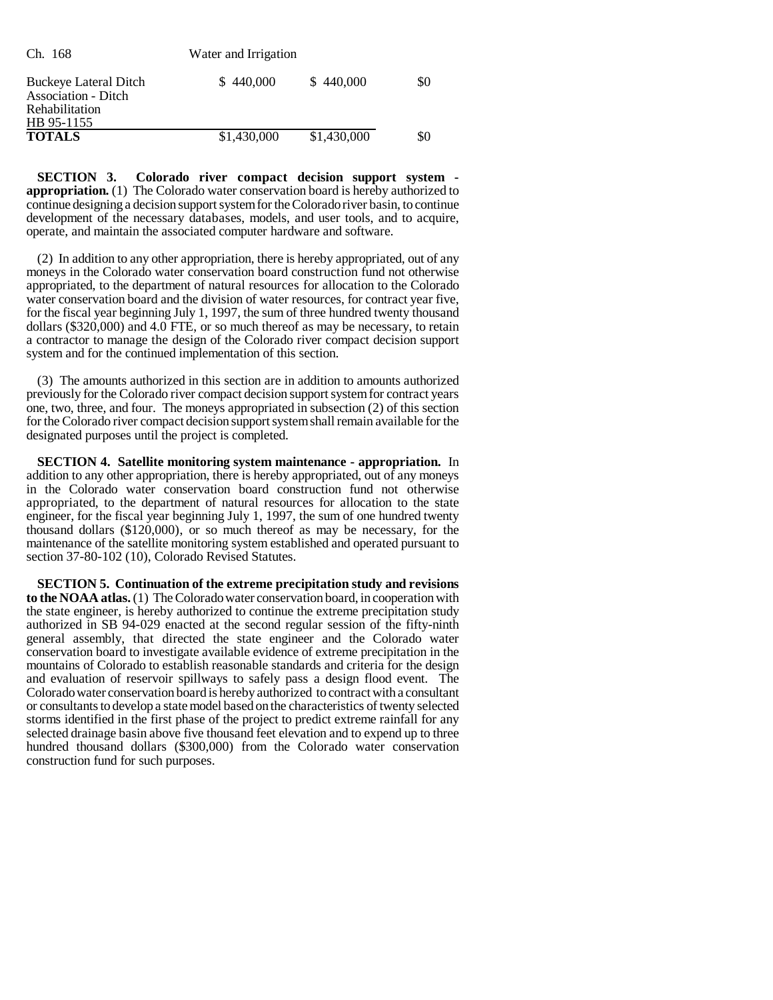| Ch. 168                                                                                           | Water and Irrigation |             |     |
|---------------------------------------------------------------------------------------------------|----------------------|-------------|-----|
| <b>Buckeye Lateral Ditch</b><br><b>Association - Ditch</b><br><b>Rehabilitation</b><br>HB 95-1155 | \$440,000            | \$440,000   | \$0 |
| <b>TOTALS</b>                                                                                     | \$1,430,000          | \$1,430,000 | \$0 |

**SECTION 3. Colorado river compact decision support system appropriation.** (1) The Colorado water conservation board is hereby authorized to continue designing a decision support system for the Colorado river basin, to continue development of the necessary databases, models, and user tools, and to acquire, operate, and maintain the associated computer hardware and software.

(2) In addition to any other appropriation, there is hereby appropriated, out of any moneys in the Colorado water conservation board construction fund not otherwise appropriated, to the department of natural resources for allocation to the Colorado water conservation board and the division of water resources, for contract year five, for the fiscal year beginning July 1, 1997, the sum of three hundred twenty thousand dollars (\$320,000) and 4.0 FTE, or so much thereof as may be necessary, to retain a contractor to manage the design of the Colorado river compact decision support system and for the continued implementation of this section.

(3) The amounts authorized in this section are in addition to amounts authorized previously for the Colorado river compact decision support system for contract years one, two, three, and four. The moneys appropriated in subsection (2) of this section for the Colorado river compact decision support system shall remain available for the designated purposes until the project is completed.

**SECTION 4. Satellite monitoring system maintenance - appropriation.** In addition to any other appropriation, there is hereby appropriated, out of any moneys in the Colorado water conservation board construction fund not otherwise appropriated, to the department of natural resources for allocation to the state engineer, for the fiscal year beginning July 1, 1997, the sum of one hundred twenty thousand dollars (\$120,000), or so much thereof as may be necessary, for the maintenance of the satellite monitoring system established and operated pursuant to section 37-80-102 (10), Colorado Revised Statutes.

**SECTION 5. Continuation of the extreme precipitation study and revisions to the NOAA atlas.** (1) The Colorado water conservation board, in cooperation with the state engineer, is hereby authorized to continue the extreme precipitation study authorized in SB 94-029 enacted at the second regular session of the fifty-ninth general assembly, that directed the state engineer and the Colorado water conservation board to investigate available evidence of extreme precipitation in the mountains of Colorado to establish reasonable standards and criteria for the design and evaluation of reservoir spillways to safely pass a design flood event. The Colorado water conservation board is hereby authorized to contract with a consultant or consultants to develop a state model based on the characteristics of twenty selected storms identified in the first phase of the project to predict extreme rainfall for any selected drainage basin above five thousand feet elevation and to expend up to three hundred thousand dollars (\$300,000) from the Colorado water conservation construction fund for such purposes.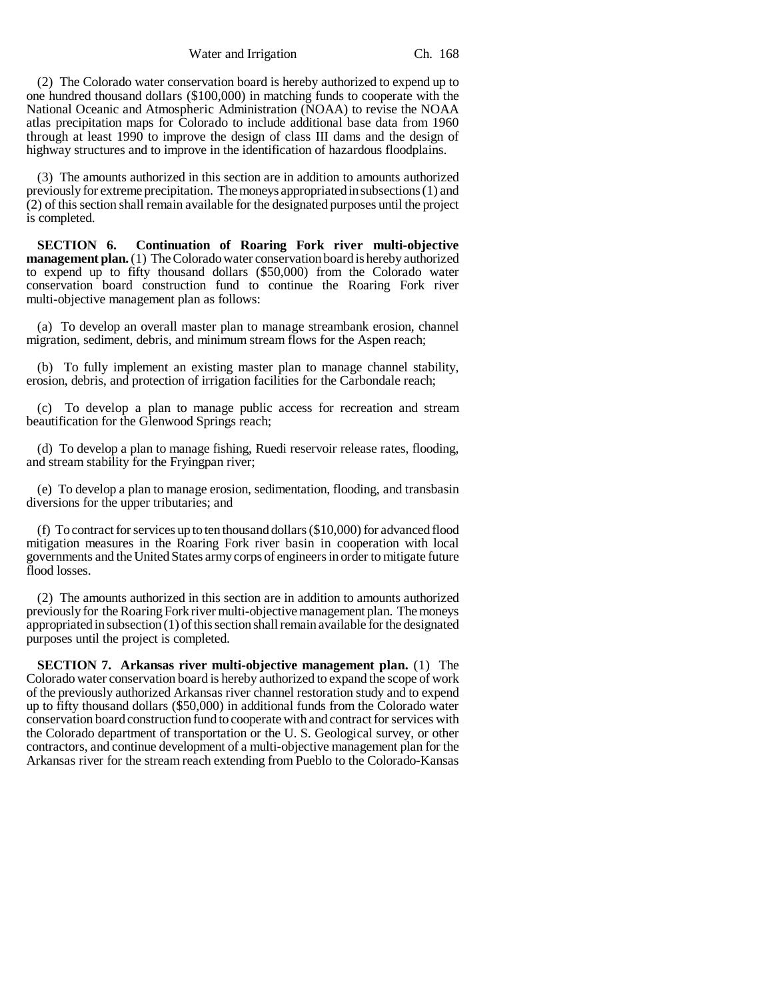Water and Irrigation Ch. 168

(2) The Colorado water conservation board is hereby authorized to expend up to one hundred thousand dollars (\$100,000) in matching funds to cooperate with the National Oceanic and Atmospheric Administration (NOAA) to revise the NOAA atlas precipitation maps for Colorado to include additional base data from 1960 through at least 1990 to improve the design of class III dams and the design of highway structures and to improve in the identification of hazardous floodplains.

(3) The amounts authorized in this section are in addition to amounts authorized previously for extreme precipitation. The moneys appropriated in subsections (1) and (2) of this section shall remain available for the designated purposes until the project is completed.

**SECTION 6. Continuation of Roaring Fork river multi-objective management plan.** (1) The Colorado water conservation board is hereby authorized to expend up to fifty thousand dollars (\$50,000) from the Colorado water conservation board construction fund to continue the Roaring Fork river multi-objective management plan as follows:

(a) To develop an overall master plan to manage streambank erosion, channel migration, sediment, debris, and minimum stream flows for the Aspen reach;

(b) To fully implement an existing master plan to manage channel stability, erosion, debris, and protection of irrigation facilities for the Carbondale reach;

(c) To develop a plan to manage public access for recreation and stream beautification for the Glenwood Springs reach;

(d) To develop a plan to manage fishing, Ruedi reservoir release rates, flooding, and stream stability for the Fryingpan river;

(e) To develop a plan to manage erosion, sedimentation, flooding, and transbasin diversions for the upper tributaries; and

(f) To contract for services up to ten thousand dollars (\$10,000) for advanced flood mitigation measures in the Roaring Fork river basin in cooperation with local governments and the United States army corps of engineers in order to mitigate future flood losses.

(2) The amounts authorized in this section are in addition to amounts authorized previously for the Roaring Fork river multi-objective management plan. The moneys appropriated in subsection (1) of this section shall remain available for the designated purposes until the project is completed.

**SECTION 7. Arkansas river multi-objective management plan.** (1) The Colorado water conservation board is hereby authorized to expand the scope of work of the previously authorized Arkansas river channel restoration study and to expend up to fifty thousand dollars (\$50,000) in additional funds from the Colorado water conservation board construction fund to cooperate with and contract for services with the Colorado department of transportation or the U. S. Geological survey, or other contractors, and continue development of a multi-objective management plan for the Arkansas river for the stream reach extending from Pueblo to the Colorado-Kansas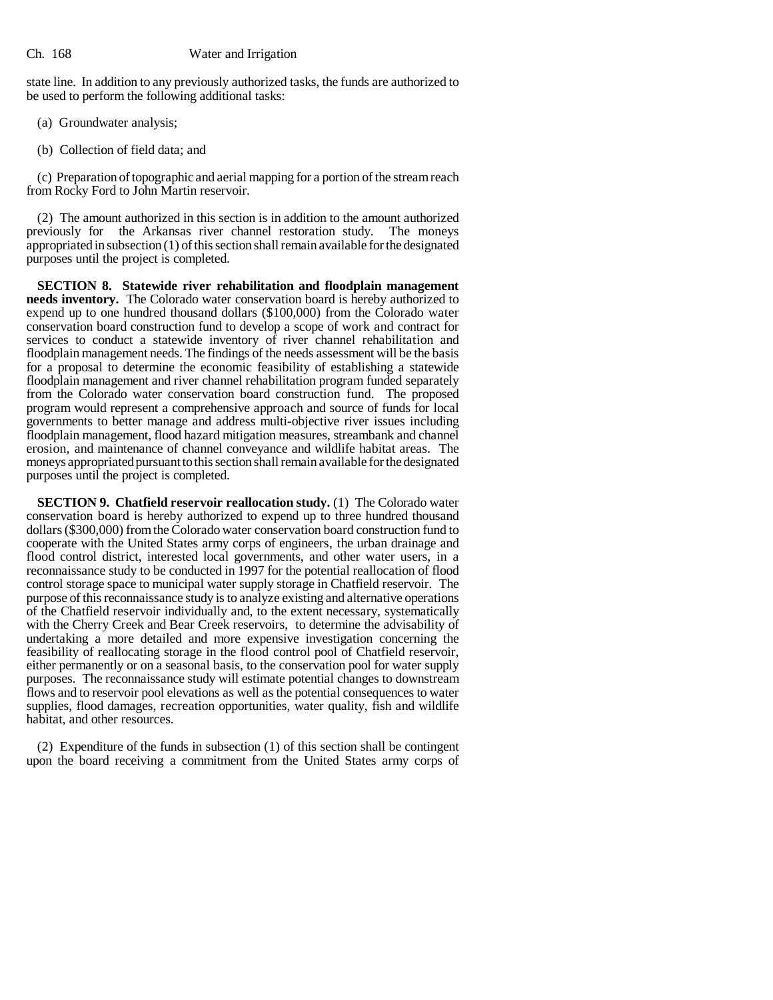## Ch. 168 Water and Irrigation

state line. In addition to any previously authorized tasks, the funds are authorized to be used to perform the following additional tasks:

- (a) Groundwater analysis;
- (b) Collection of field data; and

(c) Preparation of topographic and aerial mapping for a portion of the stream reach from Rocky Ford to John Martin reservoir.

(2) The amount authorized in this section is in addition to the amount authorized previously for the Arkansas river channel restoration study. The moneys appropriated in subsection (1) of this section shall remain available for the designated purposes until the project is completed.

**SECTION 8. Statewide river rehabilitation and floodplain management needs inventory.** The Colorado water conservation board is hereby authorized to expend up to one hundred thousand dollars (\$100,000) from the Colorado water conservation board construction fund to develop a scope of work and contract for services to conduct a statewide inventory of river channel rehabilitation and floodplain management needs. The findings of the needs assessment will be the basis for a proposal to determine the economic feasibility of establishing a statewide floodplain management and river channel rehabilitation program funded separately from the Colorado water conservation board construction fund. The proposed program would represent a comprehensive approach and source of funds for local governments to better manage and address multi-objective river issues including floodplain management, flood hazard mitigation measures, streambank and channel erosion, and maintenance of channel conveyance and wildlife habitat areas. The moneys appropriated pursuant to this section shall remain available for the designated purposes until the project is completed.

**SECTION 9. Chatfield reservoir reallocation study.** (1) The Colorado water conservation board is hereby authorized to expend up to three hundred thousand dollars (\$300,000) from the Colorado water conservation board construction fund to cooperate with the United States army corps of engineers, the urban drainage and flood control district, interested local governments, and other water users, in a reconnaissance study to be conducted in 1997 for the potential reallocation of flood control storage space to municipal water supply storage in Chatfield reservoir. The purpose of this reconnaissance study is to analyze existing and alternative operations of the Chatfield reservoir individually and, to the extent necessary, systematically with the Cherry Creek and Bear Creek reservoirs, to determine the advisability of undertaking a more detailed and more expensive investigation concerning the feasibility of reallocating storage in the flood control pool of Chatfield reservoir, either permanently or on a seasonal basis, to the conservation pool for water supply purposes. The reconnaissance study will estimate potential changes to downstream flows and to reservoir pool elevations as well as the potential consequences to water supplies, flood damages, recreation opportunities, water quality, fish and wildlife habitat, and other resources.

(2) Expenditure of the funds in subsection (1) of this section shall be contingent upon the board receiving a commitment from the United States army corps of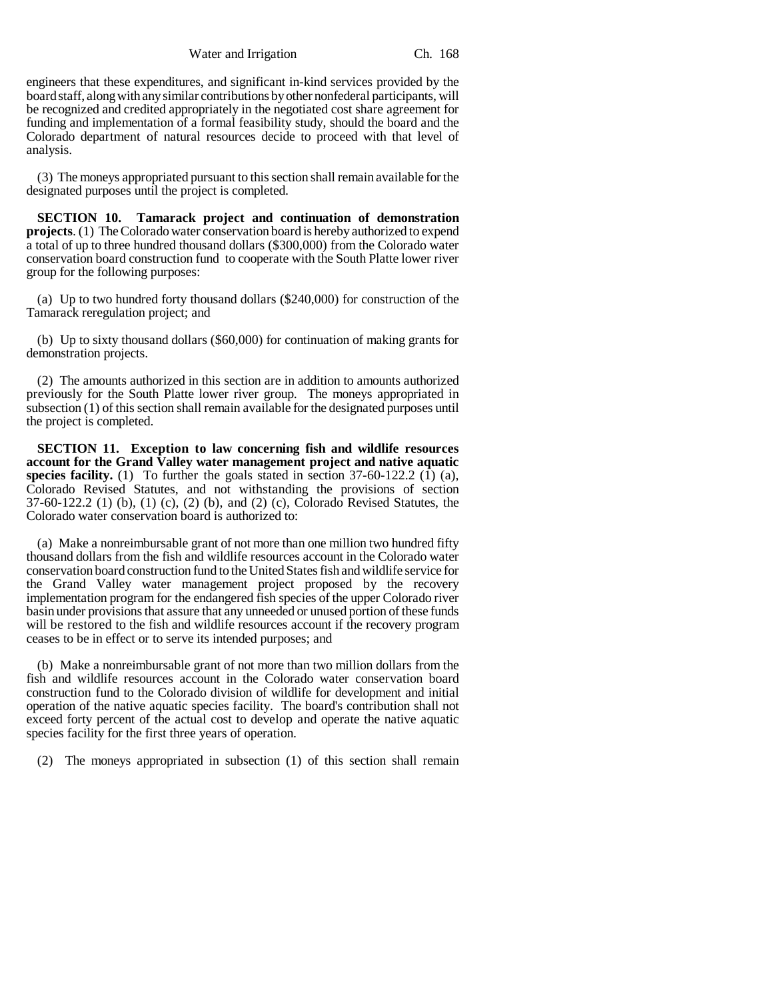Water and Irrigation Ch. 168

engineers that these expenditures, and significant in-kind services provided by the board staff, along with any similar contributions by other nonfederal participants, will be recognized and credited appropriately in the negotiated cost share agreement for funding and implementation of a formal feasibility study, should the board and the Colorado department of natural resources decide to proceed with that level of analysis.

(3) The moneys appropriated pursuant to this section shall remain available for the designated purposes until the project is completed.

**SECTION 10. Tamarack project and continuation of demonstration projects**. (1) The Colorado water conservation board is hereby authorized to expend a total of up to three hundred thousand dollars (\$300,000) from the Colorado water conservation board construction fund to cooperate with the South Platte lower river group for the following purposes:

(a) Up to two hundred forty thousand dollars (\$240,000) for construction of the Tamarack reregulation project; and

(b) Up to sixty thousand dollars (\$60,000) for continuation of making grants for demonstration projects.

(2) The amounts authorized in this section are in addition to amounts authorized previously for the South Platte lower river group. The moneys appropriated in subsection (1) of this section shall remain available for the designated purposes until the project is completed.

**SECTION 11. Exception to law concerning fish and wildlife resources account for the Grand Valley water management project and native aquatic species facility.** (1) To further the goals stated in section  $37-60-122.2$  (1) (a), Colorado Revised Statutes, and not withstanding the provisions of section 37-60-122.2 (1) (b), (1) (c), (2) (b), and (2) (c), Colorado Revised Statutes, the Colorado water conservation board is authorized to:

(a) Make a nonreimbursable grant of not more than one million two hundred fifty thousand dollars from the fish and wildlife resources account in the Colorado water conservation board construction fund to the United States fish and wildlife service for the Grand Valley water management project proposed by the recovery implementation program for the endangered fish species of the upper Colorado river basin under provisions that assure that any unneeded or unused portion of these funds will be restored to the fish and wildlife resources account if the recovery program ceases to be in effect or to serve its intended purposes; and

(b) Make a nonreimbursable grant of not more than two million dollars from the fish and wildlife resources account in the Colorado water conservation board construction fund to the Colorado division of wildlife for development and initial operation of the native aquatic species facility. The board's contribution shall not exceed forty percent of the actual cost to develop and operate the native aquatic species facility for the first three years of operation.

(2) The moneys appropriated in subsection (1) of this section shall remain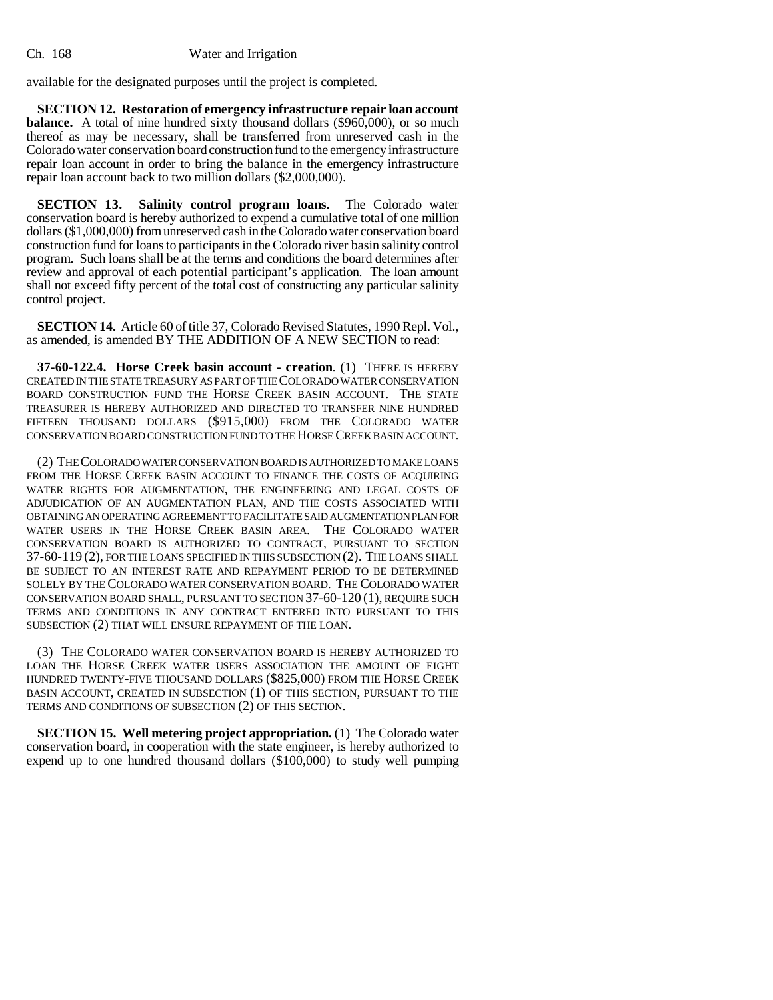available for the designated purposes until the project is completed.

**SECTION 12. Restoration of emergency infrastructure repair loan account balance.** A total of nine hundred sixty thousand dollars (\$960,000), or so much thereof as may be necessary, shall be transferred from unreserved cash in the Coloradowater conservation board construction fund to the emergency infrastructure repair loan account in order to bring the balance in the emergency infrastructure repair loan account back to two million dollars (\$2,000,000).

**SECTION 13. Salinity control program loans.** The Colorado water conservation board is hereby authorized to expend a cumulative total of one million dollars (\$1,000,000) from unreserved cash in the Colorado water conservation board construction fund for loans to participants in the Colorado river basin salinity control program. Such loans shall be at the terms and conditions the board determines after review and approval of each potential participant's application. The loan amount shall not exceed fifty percent of the total cost of constructing any particular salinity control project.

**SECTION 14.** Article 60 of title 37, Colorado Revised Statutes, 1990 Repl. Vol., as amended, is amended BY THE ADDITION OF A NEW SECTION to read:

**37-60-122.4. Horse Creek basin account - creation**. (1) THERE IS HEREBY CREATED IN THE STATE TREASURY AS PART OF THE COLORADO WATER CONSERVATION BOARD CONSTRUCTION FUND THE HORSE CREEK BASIN ACCOUNT. THE STATE TREASURER IS HEREBY AUTHORIZED AND DIRECTED TO TRANSFER NINE HUNDRED FIFTEEN THOUSAND DOLLARS (\$915,000) FROM THE COLORADO WATER CONSERVATION BOARD CONSTRUCTION FUND TO THE HORSE CREEK BASIN ACCOUNT.

(2) THE COLORADO WATER CONSERVATION BOARD IS AUTHORIZED TO MAKE LOANS FROM THE HORSE CREEK BASIN ACCOUNT TO FINANCE THE COSTS OF ACQUIRING WATER RIGHTS FOR AUGMENTATION, THE ENGINEERING AND LEGAL COSTS OF ADJUDICATION OF AN AUGMENTATION PLAN, AND THE COSTS ASSOCIATED WITH OBTAINING AN OPERATING AGREEMENT TO FACILITATE SAID AUGMENTATION PLAN FOR WATER USERS IN THE HORSE CREEK BASIN AREA. THE COLORADO WATER CONSERVATION BOARD IS AUTHORIZED TO CONTRACT, PURSUANT TO SECTION 37-60-119 (2), FOR THE LOANS SPECIFIED IN THIS SUBSECTION (2). THE LOANS SHALL BE SUBJECT TO AN INTEREST RATE AND REPAYMENT PERIOD TO BE DETERMINED SOLELY BY THE COLORADO WATER CONSERVATION BOARD. THE COLORADO WATER CONSERVATION BOARD SHALL, PURSUANT TO SECTION 37-60-120 (1), REQUIRE SUCH TERMS AND CONDITIONS IN ANY CONTRACT ENTERED INTO PURSUANT TO THIS SUBSECTION (2) THAT WILL ENSURE REPAYMENT OF THE LOAN.

(3) THE COLORADO WATER CONSERVATION BOARD IS HEREBY AUTHORIZED TO LOAN THE HORSE CREEK WATER USERS ASSOCIATION THE AMOUNT OF EIGHT HUNDRED TWENTY-FIVE THOUSAND DOLLARS (\$825,000) FROM THE HORSE CREEK BASIN ACCOUNT, CREATED IN SUBSECTION (1) OF THIS SECTION, PURSUANT TO THE TERMS AND CONDITIONS OF SUBSECTION (2) OF THIS SECTION.

**SECTION 15. Well metering project appropriation.** (1) The Colorado water conservation board, in cooperation with the state engineer, is hereby authorized to expend up to one hundred thousand dollars (\$100,000) to study well pumping